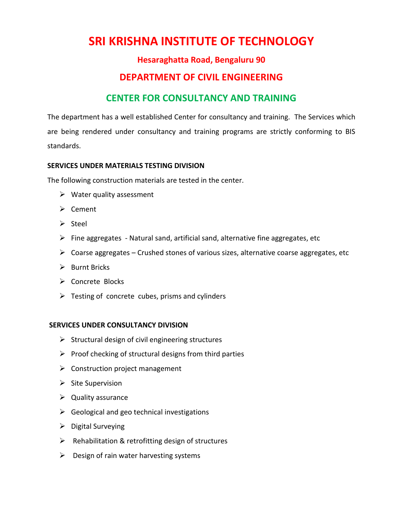# **SRI KRISHNA INSTITUTE OF TECHNOLOGY**

### **Hesaraghatta Road, Bengaluru 90**

## **DEPARTMENT OF CIVIL ENGINEERING**

## **CENTER FOR CONSULTANCY AND TRAINING**

The department has a well established Center for consultancy and training. The Services which are being rendered under consultancy and training programs are strictly conforming to BIS standards.

#### **SERVICES UNDER MATERIALS TESTING DIVISION**

The following construction materials are tested in the center.

- $\triangleright$  Water quality assessment
- ➢ Cement
- ➢ Steel
- $\triangleright$  Fine aggregates Natural sand, artificial sand, alternative fine aggregates, etc
- $\triangleright$  Coarse aggregates Crushed stones of various sizes, alternative coarse aggregates, etc
- ➢ Burnt Bricks
- ➢ Concrete Blocks
- $\triangleright$  Testing of concrete cubes, prisms and cylinders

#### **SERVICES UNDER CONSULTANCY DIVISION**

- $\triangleright$  Structural design of civil engineering structures
- $\triangleright$  Proof checking of structural designs from third parties
- $\triangleright$  Construction project management
- $\triangleright$  Site Supervision
- $\triangleright$  Quality assurance
- $\triangleright$  Geological and geo technical investigations
- $\triangleright$  Digital Surveying
- $\triangleright$  Rehabilitation & retrofitting design of structures
- $\triangleright$  Design of rain water harvesting systems